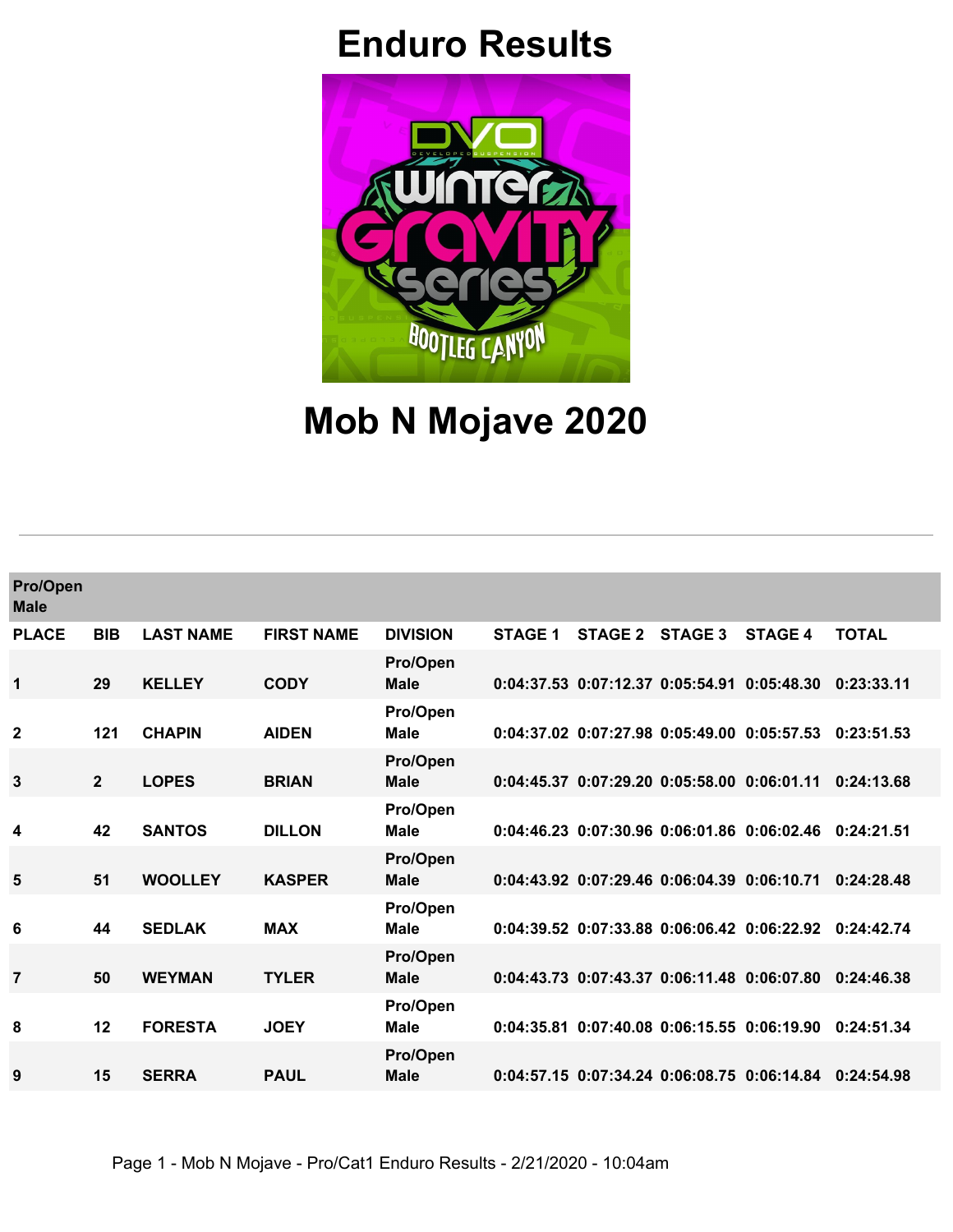## **Enduro Results**



## **Mob N Mojave 2020**

| Pro/Open<br><b>Male</b> |             |                  |                   |                         |                |         |                                             |                                                        |              |
|-------------------------|-------------|------------------|-------------------|-------------------------|----------------|---------|---------------------------------------------|--------------------------------------------------------|--------------|
| <b>PLACE</b>            | <b>BIB</b>  | <b>LAST NAME</b> | <b>FIRST NAME</b> | <b>DIVISION</b>         | <b>STAGE 1</b> | STAGE 2 | STAGE 3                                     | <b>STAGE 4</b>                                         | <b>TOTAL</b> |
| 1                       | 29          | <b>KELLEY</b>    | <b>CODY</b>       | Pro/Open<br><b>Male</b> |                |         | 0:04:37.53 0:07:12.37 0:05:54.91 0:05:48.30 |                                                        | 0:23:33.11   |
| $\overline{2}$          | 121         | <b>CHAPIN</b>    | <b>AIDEN</b>      | Pro/Open<br><b>Male</b> |                |         |                                             | 0:04:37.02 0:07:27.98 0:05:49.00 0:05:57.53            | 0:23:51.53   |
| 3                       | $2^{\circ}$ | <b>LOPES</b>     | <b>BRIAN</b>      | Pro/Open<br><b>Male</b> |                |         |                                             | 0:04:45.37 0:07:29.20 0:05:58.00 0:06:01.11            | 0:24:13.68   |
| 4                       | 42          | <b>SANTOS</b>    | <b>DILLON</b>     | Pro/Open<br><b>Male</b> |                |         | 0:04:46.23 0:07:30.96 0:06:01.86 0:06:02.46 |                                                        | 0:24:21.51   |
| 5                       | 51          | <b>WOOLLEY</b>   | <b>KASPER</b>     | Pro/Open<br><b>Male</b> |                |         |                                             | 0:04:43.92 0:07:29.46 0:06:04.39 0:06:10.71            | 0:24:28.48   |
| 6                       | 44          | <b>SEDLAK</b>    | <b>MAX</b>        | Pro/Open<br><b>Male</b> |                |         |                                             | 0:04:39.52 0:07:33.88 0:06:06.42 0:06:22.92 0:24:42.74 |              |
| 7                       | 50          | <b>WEYMAN</b>    | <b>TYLER</b>      | Pro/Open<br><b>Male</b> |                |         |                                             | 0:04:43.73 0:07:43.37 0:06:11.48 0:06:07.80            | 0:24:46.38   |
| 8                       | 12          | <b>FORESTA</b>   | <b>JOEY</b>       | Pro/Open<br>Male        |                |         |                                             | 0:04:35.81 0:07:40.08 0:06:15.55 0:06:19.90            | 0:24:51.34   |
| 9                       | 15          | <b>SERRA</b>     | <b>PAUL</b>       | Pro/Open<br><b>Male</b> |                |         |                                             | 0:04:57.15 0:07:34.24 0:06:08.75 0:06:14.84            | 0:24:54.98   |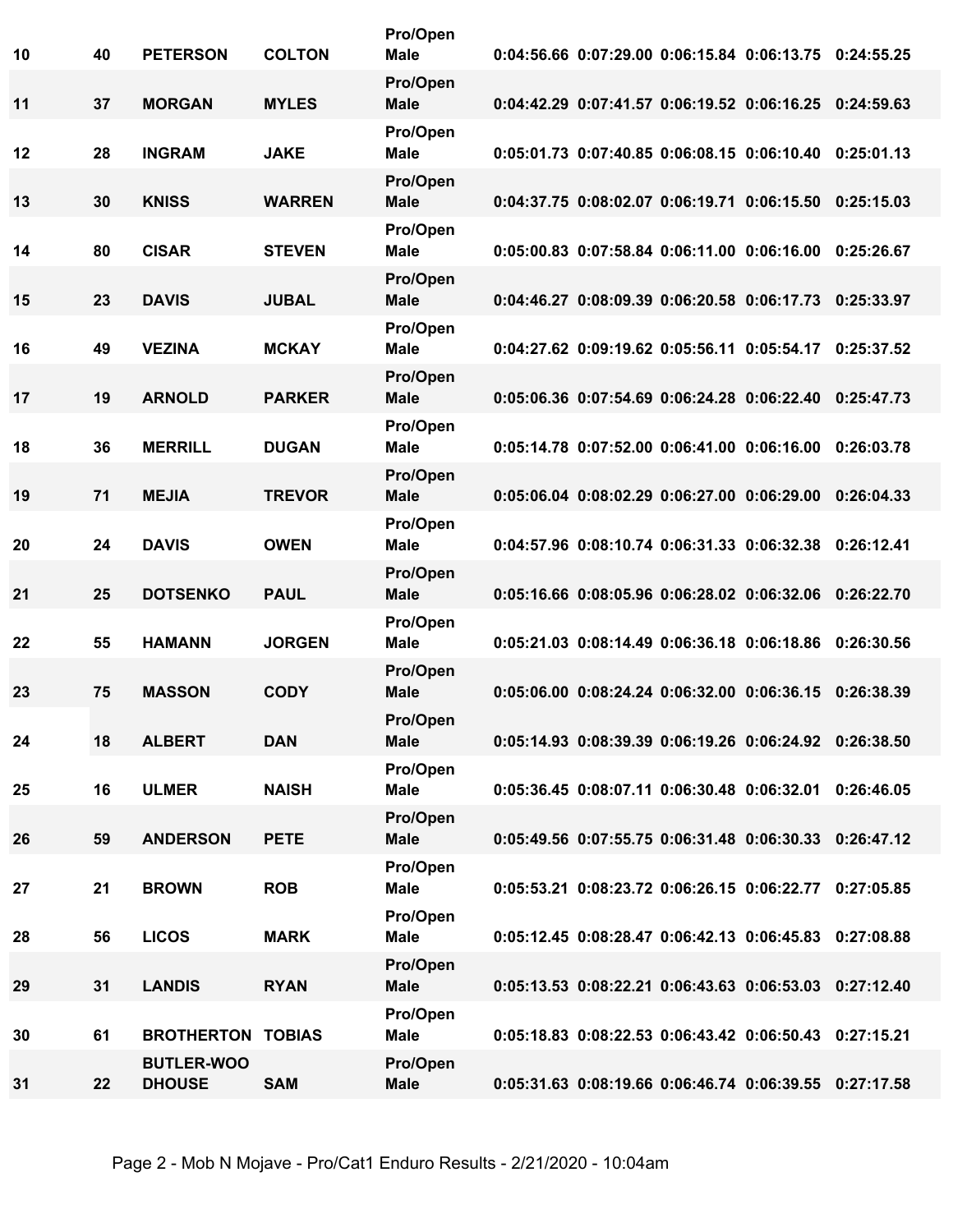| 40 | <b>PETERSON</b>                        | <b>COLTON</b>                                                                                     | Pro/Open<br><b>Male</b>                                                                                           |                                                                                                       |  |                                                                                                                                                                                                                                                                                                                                                                                                                                                                                                                                                                                                                                                                                                                                                                                                                                                                                                                                                                                                                                                                                                                                                                                                                                                                                                        |
|----|----------------------------------------|---------------------------------------------------------------------------------------------------|-------------------------------------------------------------------------------------------------------------------|-------------------------------------------------------------------------------------------------------|--|--------------------------------------------------------------------------------------------------------------------------------------------------------------------------------------------------------------------------------------------------------------------------------------------------------------------------------------------------------------------------------------------------------------------------------------------------------------------------------------------------------------------------------------------------------------------------------------------------------------------------------------------------------------------------------------------------------------------------------------------------------------------------------------------------------------------------------------------------------------------------------------------------------------------------------------------------------------------------------------------------------------------------------------------------------------------------------------------------------------------------------------------------------------------------------------------------------------------------------------------------------------------------------------------------------|
| 37 | <b>MORGAN</b>                          | <b>MYLES</b>                                                                                      | Pro/Open<br><b>Male</b>                                                                                           |                                                                                                       |  |                                                                                                                                                                                                                                                                                                                                                                                                                                                                                                                                                                                                                                                                                                                                                                                                                                                                                                                                                                                                                                                                                                                                                                                                                                                                                                        |
| 28 | <b>INGRAM</b>                          | <b>JAKE</b>                                                                                       | Pro/Open<br><b>Male</b>                                                                                           |                                                                                                       |  |                                                                                                                                                                                                                                                                                                                                                                                                                                                                                                                                                                                                                                                                                                                                                                                                                                                                                                                                                                                                                                                                                                                                                                                                                                                                                                        |
| 30 | <b>KNISS</b>                           | <b>WARREN</b>                                                                                     | Pro/Open<br><b>Male</b>                                                                                           |                                                                                                       |  |                                                                                                                                                                                                                                                                                                                                                                                                                                                                                                                                                                                                                                                                                                                                                                                                                                                                                                                                                                                                                                                                                                                                                                                                                                                                                                        |
| 80 | <b>CISAR</b>                           | <b>STEVEN</b>                                                                                     | Pro/Open<br><b>Male</b>                                                                                           |                                                                                                       |  |                                                                                                                                                                                                                                                                                                                                                                                                                                                                                                                                                                                                                                                                                                                                                                                                                                                                                                                                                                                                                                                                                                                                                                                                                                                                                                        |
| 23 | <b>DAVIS</b>                           | <b>JUBAL</b>                                                                                      | Pro/Open<br><b>Male</b>                                                                                           |                                                                                                       |  | 0:25:33.97                                                                                                                                                                                                                                                                                                                                                                                                                                                                                                                                                                                                                                                                                                                                                                                                                                                                                                                                                                                                                                                                                                                                                                                                                                                                                             |
| 49 | <b>VEZINA</b>                          | <b>MCKAY</b>                                                                                      | Pro/Open<br><b>Male</b>                                                                                           |                                                                                                       |  |                                                                                                                                                                                                                                                                                                                                                                                                                                                                                                                                                                                                                                                                                                                                                                                                                                                                                                                                                                                                                                                                                                                                                                                                                                                                                                        |
| 19 | <b>ARNOLD</b>                          | <b>PARKER</b>                                                                                     | Pro/Open<br><b>Male</b>                                                                                           |                                                                                                       |  |                                                                                                                                                                                                                                                                                                                                                                                                                                                                                                                                                                                                                                                                                                                                                                                                                                                                                                                                                                                                                                                                                                                                                                                                                                                                                                        |
| 36 | <b>MERRILL</b>                         | <b>DUGAN</b>                                                                                      | Pro/Open<br><b>Male</b>                                                                                           |                                                                                                       |  |                                                                                                                                                                                                                                                                                                                                                                                                                                                                                                                                                                                                                                                                                                                                                                                                                                                                                                                                                                                                                                                                                                                                                                                                                                                                                                        |
| 71 | <b>MEJIA</b>                           | <b>TREVOR</b>                                                                                     | Pro/Open<br><b>Male</b>                                                                                           |                                                                                                       |  |                                                                                                                                                                                                                                                                                                                                                                                                                                                                                                                                                                                                                                                                                                                                                                                                                                                                                                                                                                                                                                                                                                                                                                                                                                                                                                        |
| 24 | <b>DAVIS</b>                           | <b>OWEN</b>                                                                                       | Pro/Open<br><b>Male</b>                                                                                           |                                                                                                       |  |                                                                                                                                                                                                                                                                                                                                                                                                                                                                                                                                                                                                                                                                                                                                                                                                                                                                                                                                                                                                                                                                                                                                                                                                                                                                                                        |
| 25 | <b>DOTSENKO</b>                        | <b>PAUL</b>                                                                                       | Pro/Open<br><b>Male</b>                                                                                           |                                                                                                       |  |                                                                                                                                                                                                                                                                                                                                                                                                                                                                                                                                                                                                                                                                                                                                                                                                                                                                                                                                                                                                                                                                                                                                                                                                                                                                                                        |
| 55 | <b>HAMANN</b>                          | <b>JORGEN</b>                                                                                     | Pro/Open<br><b>Male</b>                                                                                           |                                                                                                       |  |                                                                                                                                                                                                                                                                                                                                                                                                                                                                                                                                                                                                                                                                                                                                                                                                                                                                                                                                                                                                                                                                                                                                                                                                                                                                                                        |
| 75 | <b>MASSON</b>                          | <b>CODY</b>                                                                                       | Pro/Open<br><b>Male</b>                                                                                           |                                                                                                       |  | 0:26:38.39                                                                                                                                                                                                                                                                                                                                                                                                                                                                                                                                                                                                                                                                                                                                                                                                                                                                                                                                                                                                                                                                                                                                                                                                                                                                                             |
|    |                                        |                                                                                                   | Pro/Open                                                                                                          |                                                                                                       |  |                                                                                                                                                                                                                                                                                                                                                                                                                                                                                                                                                                                                                                                                                                                                                                                                                                                                                                                                                                                                                                                                                                                                                                                                                                                                                                        |
|    |                                        |                                                                                                   | Pro/Open                                                                                                          |                                                                                                       |  |                                                                                                                                                                                                                                                                                                                                                                                                                                                                                                                                                                                                                                                                                                                                                                                                                                                                                                                                                                                                                                                                                                                                                                                                                                                                                                        |
|    |                                        |                                                                                                   | Pro/Open                                                                                                          |                                                                                                       |  |                                                                                                                                                                                                                                                                                                                                                                                                                                                                                                                                                                                                                                                                                                                                                                                                                                                                                                                                                                                                                                                                                                                                                                                                                                                                                                        |
|    |                                        |                                                                                                   | Pro/Open                                                                                                          |                                                                                                       |  |                                                                                                                                                                                                                                                                                                                                                                                                                                                                                                                                                                                                                                                                                                                                                                                                                                                                                                                                                                                                                                                                                                                                                                                                                                                                                                        |
|    |                                        |                                                                                                   | Pro/Open                                                                                                          |                                                                                                       |  |                                                                                                                                                                                                                                                                                                                                                                                                                                                                                                                                                                                                                                                                                                                                                                                                                                                                                                                                                                                                                                                                                                                                                                                                                                                                                                        |
|    |                                        |                                                                                                   | Pro/Open                                                                                                          |                                                                                                       |  |                                                                                                                                                                                                                                                                                                                                                                                                                                                                                                                                                                                                                                                                                                                                                                                                                                                                                                                                                                                                                                                                                                                                                                                                                                                                                                        |
|    |                                        |                                                                                                   | Pro/Open                                                                                                          |                                                                                                       |  |                                                                                                                                                                                                                                                                                                                                                                                                                                                                                                                                                                                                                                                                                                                                                                                                                                                                                                                                                                                                                                                                                                                                                                                                                                                                                                        |
| 22 | <b>BUTLER-WOO</b><br><b>DHOUSE</b>     | <b>SAM</b>                                                                                        | Pro/Open<br><b>Male</b>                                                                                           |                                                                                                       |  |                                                                                                                                                                                                                                                                                                                                                                                                                                                                                                                                                                                                                                                                                                                                                                                                                                                                                                                                                                                                                                                                                                                                                                                                                                                                                                        |
|    | 18<br>16<br>59<br>21<br>56<br>31<br>61 | <b>ALBERT</b><br><b>ULMER</b><br><b>ANDERSON</b><br><b>BROWN</b><br><b>LICOS</b><br><b>LANDIS</b> | <b>DAN</b><br><b>NAISH</b><br><b>PETE</b><br><b>ROB</b><br><b>MARK</b><br><b>RYAN</b><br><b>BROTHERTON TOBIAS</b> | <b>Male</b><br><b>Male</b><br><b>Male</b><br><b>Male</b><br><b>Male</b><br><b>Male</b><br><b>Male</b> |  | 0:04:56.66 0:07:29.00 0:06:15.84 0:06:13.75 0:24:55.25<br>0:04:42.29 0:07:41.57 0:06:19.52 0:06:16.25 0:24:59.63<br>0:05:01.73 0:07:40.85 0:06:08.15 0:06:10.40 0:25:01.13<br>0:04:37.75 0:08:02.07 0:06:19.71 0:06:15.50 0:25:15.03<br>0:05:00.83 0:07:58.84 0:06:11.00 0:06:16.00 0:25:26.67<br>0:04:46.27 0:08:09.39 0:06:20.58 0:06:17.73<br>0:04:27.62 0:09:19.62 0:05:56.11 0:05:54.17 0:25:37.52<br>0:05:06.36 0:07:54.69 0:06:24.28 0:06:22.40 0:25:47.73<br>0:05:14.78 0:07:52.00 0:06:41.00 0:06:16.00 0:26:03.78<br>0:05:06.04 0:08:02.29 0:06:27.00 0:06:29.00 0:26:04.33<br>0:04:57.96 0:08:10.74 0:06:31.33 0:06:32.38 0:26:12.41<br>0:05:16.66 0:08:05.96 0:06:28.02 0:06:32.06 0:26:22.70<br>0:05:21.03  0:08:14.49  0:06:36.18  0:06:18.86  0:26:30.56<br>0:05:06.00 0:08:24.24 0:06:32.00 0:06:36.15<br>0:05:14.93 0:08:39.39 0:06:19.26 0:06:24.92 0:26:38.50<br>0:05:36.45 0:08:07.11 0:06:30.48 0:06:32.01 0:26:46.05<br>0:05:49.56 0:07:55.75 0:06:31.48 0:06:30.33 0:26:47.12<br>0:05:53.21 0:08:23.72 0:06:26.15 0:06:22.77 0:27:05.85<br>0:05:12.45 0:08:28.47 0:06:42.13 0:06:45.83 0:27:08.88<br>0:05:13.53 0:08:22.21 0:06:43.63 0:06:53.03 0:27:12.40<br>0:05:18.83 0:08:22.53 0:06:43.42 0:06:50.43 0:27:15.21<br>0:05:31.63 0:08:19.66 0:06:46.74 0:06:39.55 0:27:17.58 |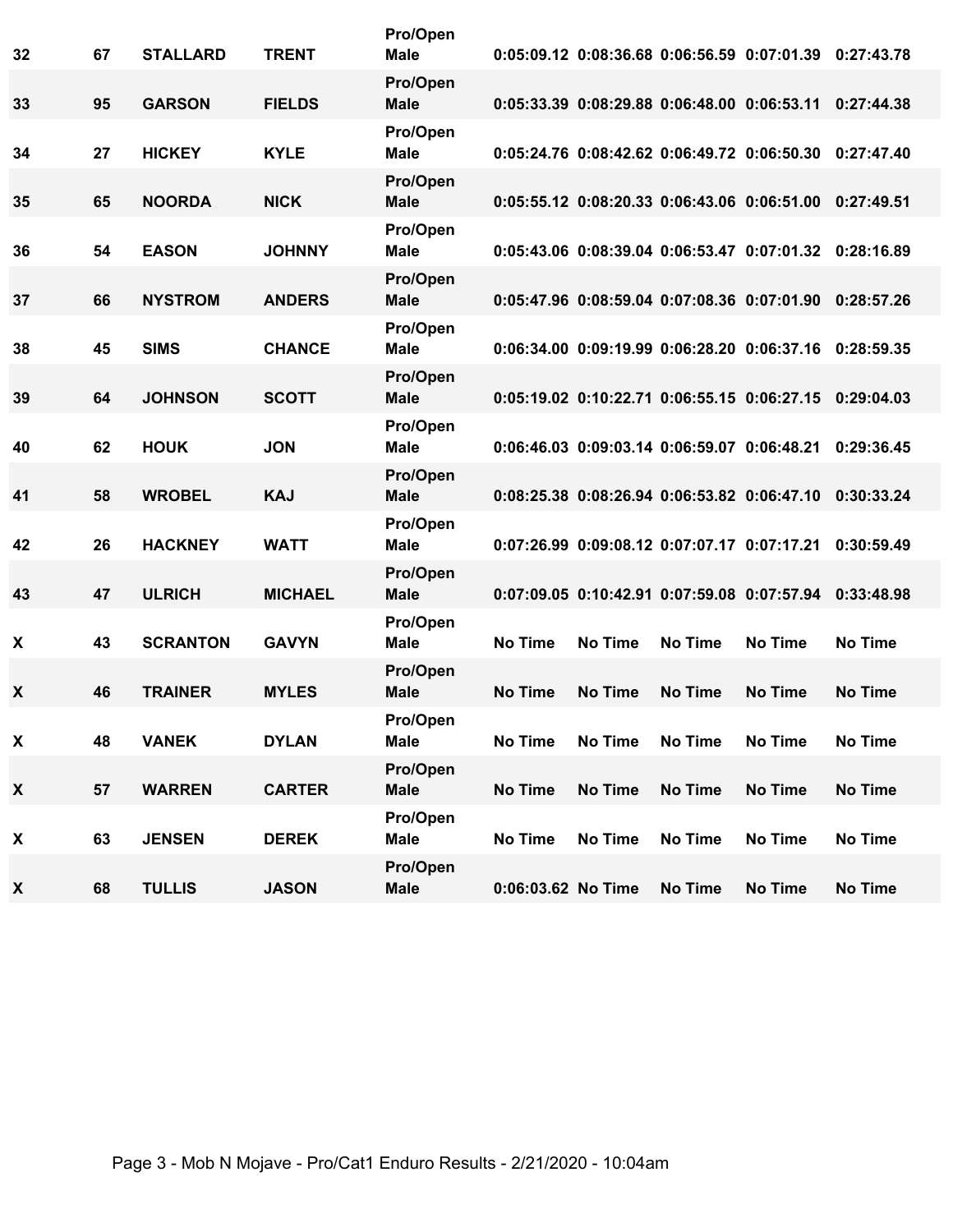| 32 | 67 | <b>STALLARD</b> | <b>TRENT</b>   | Pro/Open<br><b>Male</b> |                    |                |                | 0:05:09.12 0:08:36.68 0:06:56.59 0:07:01.39 0:27:43.78           |                |
|----|----|-----------------|----------------|-------------------------|--------------------|----------------|----------------|------------------------------------------------------------------|----------------|
| 33 | 95 | <b>GARSON</b>   | <b>FIELDS</b>  | Pro/Open<br><b>Male</b> |                    |                |                | $0:05:33.39$ $0:08:29.88$ $0:06:48.00$ $0:06:53.11$ $0:27:44.38$ |                |
| 34 | 27 | <b>HICKEY</b>   | <b>KYLE</b>    | Pro/Open<br><b>Male</b> |                    |                |                | 0:05:24.76 0:08:42.62 0:06:49.72 0:06:50.30 0:27:47.40           |                |
| 35 | 65 | <b>NOORDA</b>   | <b>NICK</b>    | Pro/Open<br><b>Male</b> |                    |                |                | 0:05:55.12 0:08:20.33 0:06:43.06 0:06:51.00 0:27:49.51           |                |
| 36 | 54 | <b>EASON</b>    | <b>JOHNNY</b>  | Pro/Open<br><b>Male</b> |                    |                |                | 0:05:43.06 0:08:39.04 0:06:53.47 0:07:01.32 0:28:16.89           |                |
| 37 | 66 | <b>NYSTROM</b>  | <b>ANDERS</b>  | Pro/Open<br><b>Male</b> |                    |                |                | 0:05:47.96 0:08:59.04 0:07:08.36 0:07:01.90 0:28:57.26           |                |
| 38 | 45 | <b>SIMS</b>     | <b>CHANCE</b>  | Pro/Open<br><b>Male</b> |                    |                |                | 0:06:34.00 0:09:19.99 0:06:28.20 0:06:37.16 0:28:59.35           |                |
| 39 | 64 | <b>JOHNSON</b>  | <b>SCOTT</b>   | Pro/Open<br><b>Male</b> |                    |                |                | 0:05:19.02 0:10:22.71 0:06:55.15 0:06:27.15 0:29:04.03           |                |
| 40 | 62 | <b>HOUK</b>     | <b>JON</b>     | Pro/Open<br><b>Male</b> |                    |                |                | 0:06:46.03 0:09:03.14 0:06:59.07 0:06:48.21                      | 0:29:36.45     |
| 41 | 58 | <b>WROBEL</b>   | <b>KAJ</b>     | Pro/Open<br><b>Male</b> |                    |                |                | 0:08:25.38 0:08:26.94 0:06:53.82 0:06:47.10 0:30:33.24           |                |
| 42 | 26 | <b>HACKNEY</b>  | <b>WATT</b>    | Pro/Open<br><b>Male</b> |                    |                |                | 0:07:26.99 0:09:08.12 0:07:07.17 0:07:17.21                      | 0:30:59.49     |
| 43 | 47 | <b>ULRICH</b>   | <b>MICHAEL</b> | Pro/Open<br><b>Male</b> |                    |                |                | 0:07:09.05 0:10:42.91 0:07:59.08 0:07:57.94 0:33:48.98           |                |
| X  | 43 | <b>SCRANTON</b> | <b>GAVYN</b>   | Pro/Open<br>Male        | <b>No Time</b>     | <b>No Time</b> | <b>No Time</b> | No Time                                                          | <b>No Time</b> |
| X  | 46 | <b>TRAINER</b>  | <b>MYLES</b>   | Pro/Open<br><b>Male</b> | <b>No Time</b>     | No Time        | <b>No Time</b> | No Time                                                          | <b>No Time</b> |
| X  | 48 | <b>VANEK</b>    | <b>DYLAN</b>   | Pro/Open<br><b>Male</b> | No Time            | <b>No Time</b> | No Time        | No Time                                                          | <b>No Time</b> |
| X  | 57 | <b>WARREN</b>   | <b>CARTER</b>  | Pro/Open<br><b>Male</b> | No Time            | No Time        | <b>No Time</b> | No Time                                                          | <b>No Time</b> |
| X  | 63 | <b>JENSEN</b>   | <b>DEREK</b>   | Pro/Open<br>Male        | No Time            | No Time        | No Time        | No Time                                                          | No Time        |
| X  | 68 | <b>TULLIS</b>   | <b>JASON</b>   | Pro/Open<br><b>Male</b> | 0:06:03.62 No Time |                | <b>No Time</b> | No Time                                                          | <b>No Time</b> |
|    |    |                 |                |                         |                    |                |                |                                                                  |                |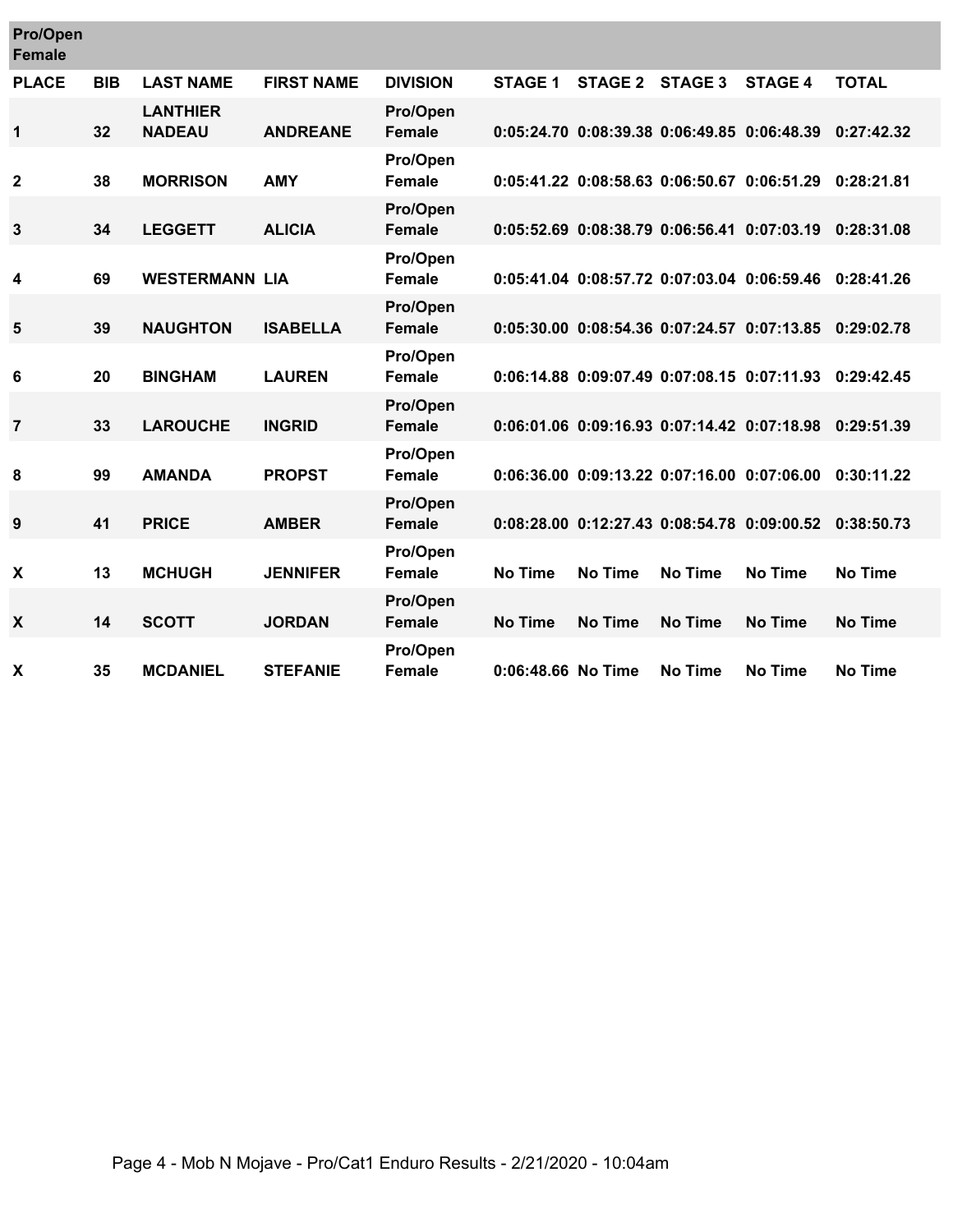| <b>Pro/Open</b><br><b>Female</b> |            |                                  |                   |                           |                    |                |                                             |                                             |                |
|----------------------------------|------------|----------------------------------|-------------------|---------------------------|--------------------|----------------|---------------------------------------------|---------------------------------------------|----------------|
| <b>PLACE</b>                     | <b>BIB</b> | <b>LAST NAME</b>                 | <b>FIRST NAME</b> | <b>DIVISION</b>           | <b>STAGE 1</b>     | <b>STAGE 2</b> | <b>STAGE 3</b>                              | <b>STAGE 4</b>                              | <b>TOTAL</b>   |
| 1                                | 32         | <b>LANTHIER</b><br><b>NADEAU</b> | <b>ANDREANE</b>   | Pro/Open<br><b>Female</b> |                    |                | 0:05:24.70 0:08:39.38 0:06:49.85 0:06:48.39 |                                             | 0:27:42.32     |
| $\mathbf{2}$                     | 38         | <b>MORRISON</b>                  | <b>AMY</b>        | Pro/Open<br><b>Female</b> |                    |                |                                             | 0:05:41.22 0:08:58.63 0:06:50.67 0:06:51.29 | 0:28:21.81     |
| 3                                | 34         | <b>LEGGETT</b>                   | <b>ALICIA</b>     | Pro/Open<br><b>Female</b> |                    |                |                                             | 0:05:52.69 0:08:38.79 0:06:56.41 0:07:03.19 | 0:28:31.08     |
| 4                                | 69         | <b>WESTERMANN LIA</b>            |                   | Pro/Open<br><b>Female</b> |                    |                |                                             | 0:05:41.04 0:08:57.72 0:07:03.04 0:06:59.46 | 0:28:41.26     |
| 5                                | 39         | <b>NAUGHTON</b>                  | <b>ISABELLA</b>   | Pro/Open<br><b>Female</b> |                    |                |                                             | 0:05:30.00 0:08:54.36 0:07:24.57 0:07:13.85 | 0:29:02.78     |
| 6                                | 20         | <b>BINGHAM</b>                   | <b>LAUREN</b>     | Pro/Open<br><b>Female</b> |                    |                |                                             | 0:06:14.88 0:09:07.49 0:07:08.15 0:07:11.93 | 0:29:42.45     |
| $\overline{7}$                   | 33         | <b>LAROUCHE</b>                  | <b>INGRID</b>     | Pro/Open<br><b>Female</b> |                    |                |                                             | 0:06:01.06 0:09:16.93 0:07:14.42 0:07:18.98 | 0:29:51.39     |
| 8                                | 99         | <b>AMANDA</b>                    | <b>PROPST</b>     | Pro/Open<br><b>Female</b> |                    |                |                                             | 0:06:36.00 0:09:13.22 0:07:16.00 0:07:06.00 | 0:30:11.22     |
| 9                                | 41         | <b>PRICE</b>                     | <b>AMBER</b>      | Pro/Open<br><b>Female</b> |                    |                |                                             | 0:08:28.00 0:12:27.43 0:08:54.78 0:09:00.52 | 0:38:50.73     |
| X                                | 13         | <b>MCHUGH</b>                    | <b>JENNIFER</b>   | Pro/Open<br><b>Female</b> | <b>No Time</b>     | <b>No Time</b> | <b>No Time</b>                              | <b>No Time</b>                              | <b>No Time</b> |
| X                                | 14         | <b>SCOTT</b>                     | <b>JORDAN</b>     | Pro/Open<br><b>Female</b> | <b>No Time</b>     | <b>No Time</b> | <b>No Time</b>                              | <b>No Time</b>                              | <b>No Time</b> |
| X                                | 35         | <b>MCDANIEL</b>                  | <b>STEFANIE</b>   | Pro/Open<br><b>Female</b> | 0:06:48.66 No Time |                | No Time                                     | No Time                                     | <b>No Time</b> |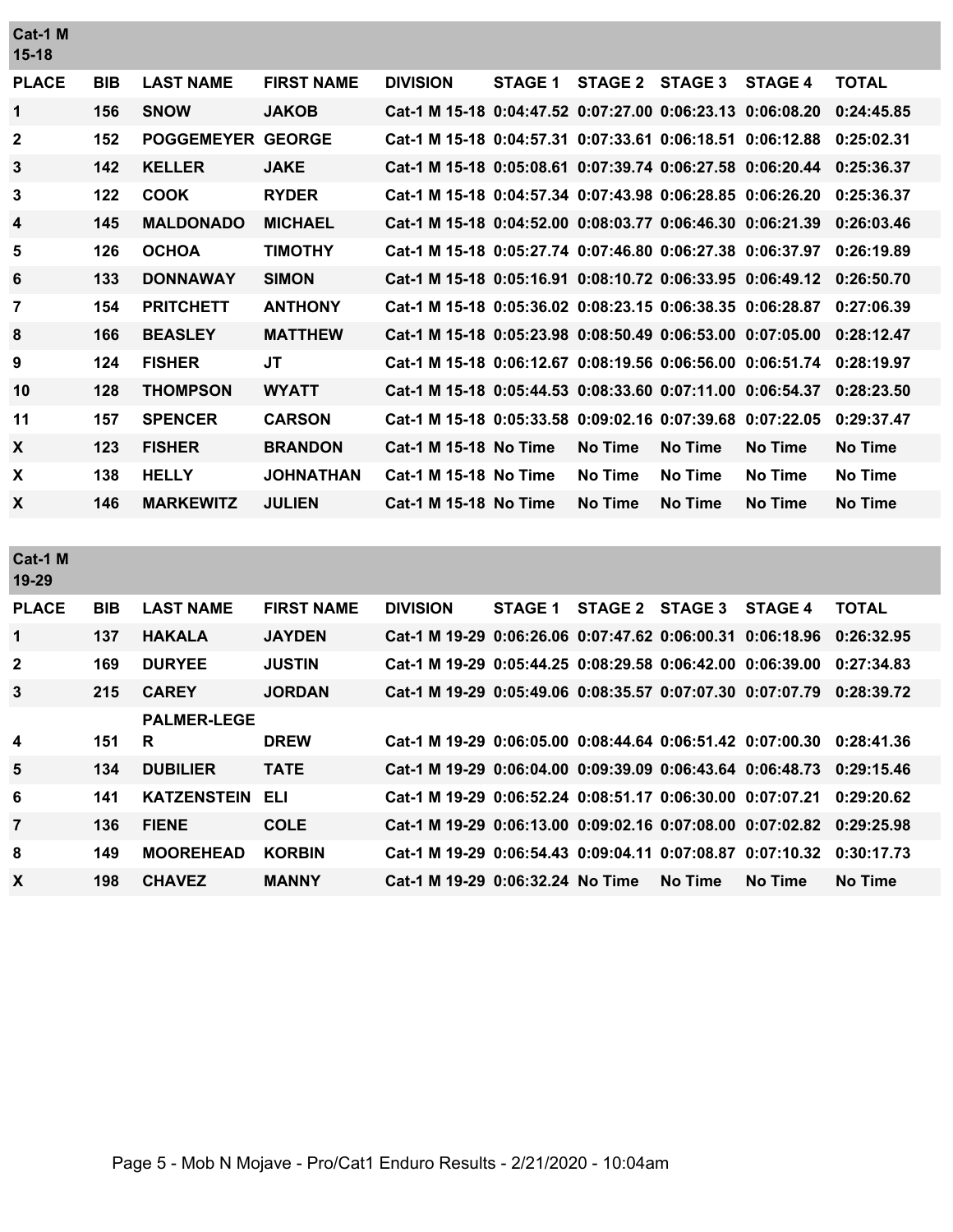| Cat-1 M<br>$15-18$ |            |                          |                   |                                                           |                |                 |                |                |                |
|--------------------|------------|--------------------------|-------------------|-----------------------------------------------------------|----------------|-----------------|----------------|----------------|----------------|
| <b>PLACE</b>       | <b>BIB</b> | <b>LAST NAME</b>         | <b>FIRST NAME</b> | <b>DIVISION</b>                                           | <b>STAGE 1</b> | STAGE 2 STAGE 3 |                | <b>STAGE 4</b> | <b>TOTAL</b>   |
| $\mathbf{1}$       | 156        | <b>SNOW</b>              | <b>JAKOB</b>      | Cat-1 M 15-18 0:04:47.52 0:07:27.00 0:06:23.13 0:06:08.20 |                |                 |                |                | 0:24:45.85     |
| $\mathbf{2}$       | 152        | <b>POGGEMEYER GEORGE</b> |                   | Cat-1 M 15-18 0:04:57.31 0:07:33.61 0:06:18.51 0:06:12.88 |                |                 |                |                | 0:25:02.31     |
| 3                  | 142        | <b>KELLER</b>            | <b>JAKE</b>       | Cat-1 M 15-18 0:05:08.61 0:07:39.74 0:06:27.58 0:06:20.44 |                |                 |                |                | 0:25:36.37     |
| $\mathbf{3}$       | 122        | <b>COOK</b>              | <b>RYDER</b>      | Cat-1 M 15-18 0:04:57.34 0:07:43.98 0:06:28.85 0:06:26.20 |                |                 |                |                | 0:25:36.37     |
| 4                  | 145        | <b>MALDONADO</b>         | <b>MICHAEL</b>    | Cat-1 M 15-18 0:04:52.00 0:08:03.77 0:06:46.30 0:06:21.39 |                |                 |                |                | 0:26:03.46     |
| 5                  | 126        | <b>OCHOA</b>             | <b>TIMOTHY</b>    | Cat-1 M 15-18 0:05:27.74 0:07:46.80 0:06:27.38 0:06:37.97 |                |                 |                |                | 0:26:19.89     |
| 6                  | 133        | <b>DONNAWAY</b>          | <b>SIMON</b>      | Cat-1 M 15-18 0:05:16.91 0:08:10.72 0:06:33.95 0:06:49.12 |                |                 |                |                | 0:26:50.70     |
| 7                  | 154        | <b>PRITCHETT</b>         | <b>ANTHONY</b>    | Cat-1 M 15-18 0:05:36.02 0:08:23.15 0:06:38.35 0:06:28.87 |                |                 |                |                | 0:27:06.39     |
| 8                  | 166        | <b>BEASLEY</b>           | <b>MATTHEW</b>    | Cat-1 M 15-18 0:05:23.98 0:08:50.49 0:06:53.00 0:07:05.00 |                |                 |                |                | 0:28:12.47     |
| 9                  | 124        | <b>FISHER</b>            | JT                | Cat-1 M 15-18 0:06:12.67 0:08:19.56 0:06:56.00 0:06:51.74 |                |                 |                |                | 0:28:19.97     |
| 10                 | 128        | <b>THOMPSON</b>          | <b>WYATT</b>      | Cat-1 M 15-18 0:05:44.53 0:08:33.60 0:07:11.00 0:06:54.37 |                |                 |                |                | 0:28:23.50     |
| 11                 | 157        | <b>SPENCER</b>           | <b>CARSON</b>     | Cat-1 M 15-18 0:05:33.58 0:09:02.16 0:07:39.68 0:07:22.05 |                |                 |                |                | 0:29:37.47     |
| X                  | 123        | <b>FISHER</b>            | <b>BRANDON</b>    | <b>Cat-1 M 15-18 No Time</b>                              |                | <b>No Time</b>  | <b>No Time</b> | <b>No Time</b> | <b>No Time</b> |
| X                  | 138        | <b>HELLY</b>             | <b>JOHNATHAN</b>  | <b>Cat-1 M 15-18 No Time</b>                              |                | <b>No Time</b>  | <b>No Time</b> | No Time        | <b>No Time</b> |
| X                  | 146        | <b>MARKEWITZ</b>         | <b>JULIEN</b>     | <b>Cat-1 M 15-18 No Time</b>                              |                | <b>No Time</b>  | <b>No Time</b> | <b>No Time</b> | <b>No Time</b> |
|                    |            |                          |                   |                                                           |                |                 |                |                |                |
| Cat-1 M<br>19-29   |            |                          |                   |                                                           |                |                 |                |                |                |
| <b>PLACE</b>       | <b>BIB</b> | <b>LAST NAME</b>         | <b>FIRST NAME</b> | <b>DIVISION</b>                                           | <b>STAGE 1</b> | <b>STAGE 2</b>  | <b>STAGE 3</b> | <b>STAGE 4</b> | <b>TOTAL</b>   |
| $\mathbf{1}$       | 137        | <b>HAKALA</b>            | <b>JAYDEN</b>     | Cat-1 M 19-29 0:06:26.06 0:07:47.62 0:06:00.31 0:06:18.96 |                |                 |                |                | 0:26:32.95     |
| $\mathbf{2}$       | 169        | <b>DURYEE</b>            | <b>JUSTIN</b>     | Cat-1 M 19-29 0:05:44.25 0:08:29.58 0:06:42.00 0:06:39.00 |                |                 |                |                | 0:27:34.83     |

| 3               | 215 | <b>CAREY</b>           | <b>JORDAN</b> | Cat-1 M 19-29 0:05:49.06 0:08:35.57 0:07:07.30 0:07:07.79 0:28:39.72 |  |         |         |         |
|-----------------|-----|------------------------|---------------|----------------------------------------------------------------------|--|---------|---------|---------|
|                 |     | <b>PALMER-LEGE</b>     |               |                                                                      |  |         |         |         |
| 4               | 151 | - R                    | <b>DREW</b>   | Cat-1 M 19-29 0:06:05.00 0:08:44.64 0:06:51.42 0:07:00.30 0:28:41.36 |  |         |         |         |
| $5\phantom{.0}$ | 134 | <b>DUBILIER</b>        | <b>TATE</b>   | Cat-1 M 19-29 0:06:04.00 0:09:39.09 0:06:43.64 0:06:48.73 0:29:15.46 |  |         |         |         |
| 6               | 141 | <b>KATZENSTEIN ELI</b> |               | Cat-1 M 19-29 0:06:52.24 0:08:51.17 0:06:30.00 0:07:07.21 0:29:20.62 |  |         |         |         |
| $\overline{7}$  | 136 | <b>FIENE</b>           | <b>COLE</b>   | Cat-1 M 19-29 0:06:13.00 0:09:02.16 0:07:08.00 0:07:02.82 0:29:25.98 |  |         |         |         |
| 8               | 149 | <b>MOOREHEAD</b>       | <b>KORBIN</b> | Cat-1 M 19-29 0:06:54.43 0:09:04.11 0:07:08.87 0:07:10.32 0:30:17.73 |  |         |         |         |
| X               | 198 | <b>CHAVEZ</b>          | <b>MANNY</b>  | Cat-1 M 19-29 0:06:32.24 No Time                                     |  | No Time | No Time | No Time |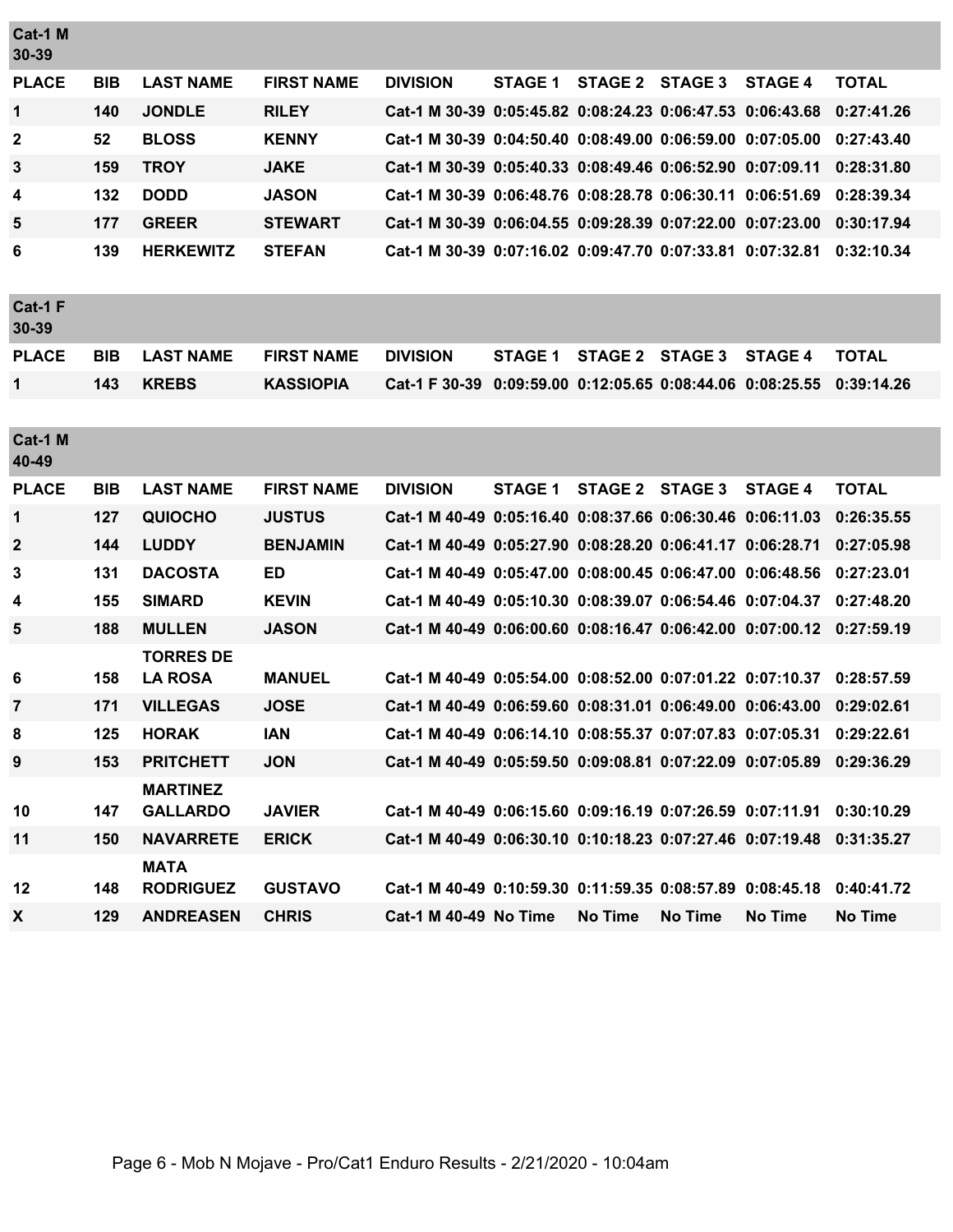| Cat-1 M<br>30-39 |            |                                    |                   |                                                                      |                |                 |                |                                             |              |
|------------------|------------|------------------------------------|-------------------|----------------------------------------------------------------------|----------------|-----------------|----------------|---------------------------------------------|--------------|
| <b>PLACE</b>     | <b>BIB</b> | <b>LAST NAME</b>                   | <b>FIRST NAME</b> | <b>DIVISION</b>                                                      | <b>STAGE 1</b> | STAGE 2 STAGE 3 |                | <b>STAGE 4</b>                              | <b>TOTAL</b> |
| $\mathbf 1$      | 140        | <b>JONDLE</b>                      | <b>RILEY</b>      | Cat-1 M 30-39 0:05:45.82 0:08:24.23 0:06:47.53 0:06:43.68            |                |                 |                |                                             | 0:27:41.26   |
| 2                | 52         | <b>BLOSS</b>                       | <b>KENNY</b>      | Cat-1 M 30-39 0:04:50.40 0:08:49.00 0:06:59.00 0:07:05.00            |                |                 |                |                                             | 0:27:43.40   |
| 3                | 159        | <b>TROY</b>                        | <b>JAKE</b>       | Cat-1 M 30-39 0:05:40.33 0:08:49.46 0:06:52.90 0:07:09.11            |                |                 |                |                                             | 0:28:31.80   |
| 4                | 132        | <b>DODD</b>                        | <b>JASON</b>      | Cat-1 M 30-39 0:06:48.76 0:08:28.78 0:06:30.11 0:06:51.69            |                |                 |                |                                             | 0:28:39.34   |
| 5                | 177        | <b>GREER</b>                       | <b>STEWART</b>    | Cat-1 M 30-39 0:06:04.55 0:09:28.39 0:07:22.00 0:07:23.00            |                |                 |                |                                             | 0:30:17.94   |
| 6                | 139        | <b>HERKEWITZ</b>                   | <b>STEFAN</b>     | Cat-1 M 30-39 0:07:16.02 0:09:47.70 0:07:33.81 0:07:32.81            |                |                 |                |                                             | 0:32:10.34   |
| Cat-1 F<br>30-39 |            |                                    |                   |                                                                      |                |                 |                |                                             |              |
| <b>PLACE</b>     | <b>BIB</b> | <b>LAST NAME</b>                   | <b>FIRST NAME</b> | <b>DIVISION</b>                                                      | <b>STAGE 1</b> | STAGE 2 STAGE 3 |                | <b>STAGE 4</b>                              | <b>TOTAL</b> |
| $\mathbf{1}$     | 143        | <b>KREBS</b>                       | <b>KASSIOPIA</b>  | Cat-1 F 30-39                                                        |                |                 |                | 0:09:59.00 0:12:05.65 0:08:44.06 0:08:25.55 | 0:39:14.26   |
| Cat-1 M<br>40-49 |            |                                    |                   |                                                                      |                |                 |                |                                             |              |
| <b>PLACE</b>     | <b>BIB</b> | <b>LAST NAME</b>                   | <b>FIRST NAME</b> | <b>DIVISION</b>                                                      | <b>STAGE 1</b> | STAGE 2 STAGE 3 |                | <b>STAGE 4</b>                              | <b>TOTAL</b> |
| 1                | 127        | <b>QUIOCHO</b>                     | <b>JUSTUS</b>     | Cat-1 M 40-49 0:05:16.40 0:08:37.66 0:06:30.46 0:06:11.03            |                |                 |                |                                             | 0:26:35.55   |
| $\mathbf{2}$     | 144        | <b>LUDDY</b>                       | <b>BENJAMIN</b>   | Cat-1 M 40-49 0:05:27.90 0:08:28.20 0:06:41.17 0:06:28.71            |                |                 |                |                                             | 0:27:05.98   |
| 3                | 131        | <b>DACOSTA</b>                     | <b>ED</b>         | Cat-1 M 40-49 0:05:47.00 0:08:00.45 0:06:47.00 0:06:48.56            |                |                 |                |                                             | 0:27:23.01   |
| 4                | 155        | <b>SIMARD</b>                      | <b>KEVIN</b>      | Cat-1 M 40-49 0:05:10.30 0:08:39.07 0:06:54.46 0:07:04.37            |                |                 |                |                                             | 0:27:48.20   |
| 5                | 188        | <b>MULLEN</b>                      | <b>JASON</b>      | Cat-1 M 40-49 0:06:00.60 0:08:16.47 0:06:42.00 0:07:00.12            |                |                 |                |                                             | 0:27:59.19   |
| 6                | 158        | <b>TORRES DE</b><br><b>LA ROSA</b> | <b>MANUEL</b>     | Cat-1 M 40-49 0:05:54.00 0:08:52.00 0:07:01.22 0:07:10.37            |                |                 |                |                                             | 0:28:57.59   |
| 7                | 171        | <b>VILLEGAS</b>                    | <b>JOSE</b>       | Cat-1 M 40-49 0:06:59.60 0:08:31.01 0:06:49.00 0:06:43.00            |                |                 |                |                                             | 0:29:02.61   |
| 8                | 125        | <b>HORAK</b>                       | IAN               | Cat-1 M 40-49 0:06:14.10 0:08:55.37 0:07:07.83 0:07:05.31 0:29:22.61 |                |                 |                |                                             |              |
| 9                | 153        | <b>PRITCHETT</b>                   | <b>JON</b>        | Cat-1 M 40-49 0:05:59.50 0:09:08.81 0:07:22.09 0:07:05.89 0:29:36.29 |                |                 |                |                                             |              |
| 10               | 147        | <b>MARTINEZ</b><br><b>GALLARDO</b> | <b>JAVIER</b>     | Cat-1 M 40-49 0:06:15.60 0:09:16.19 0:07:26.59 0:07:11.91            |                |                 |                |                                             | 0:30:10.29   |
| 11               | 150        | <b>NAVARRETE</b>                   | <b>ERICK</b>      | Cat-1 M 40-49 0:06:30.10 0:10:18.23 0:07:27.46 0:07:19.48            |                |                 |                |                                             | 0:31:35.27   |
| 12               | 148        | <b>MATA</b><br><b>RODRIGUEZ</b>    | <b>GUSTAVO</b>    | Cat-1 M 40-49 0:10:59.30 0:11:59.35 0:08:57.89 0:08:45.18            |                |                 |                |                                             | 0:40:41.72   |
| X                | 129        | <b>ANDREASEN</b>                   | <b>CHRIS</b>      | <b>Cat-1 M 40-49 No Time</b>                                         |                | <b>No Time</b>  | <b>No Time</b> | <b>No Time</b>                              | No Time      |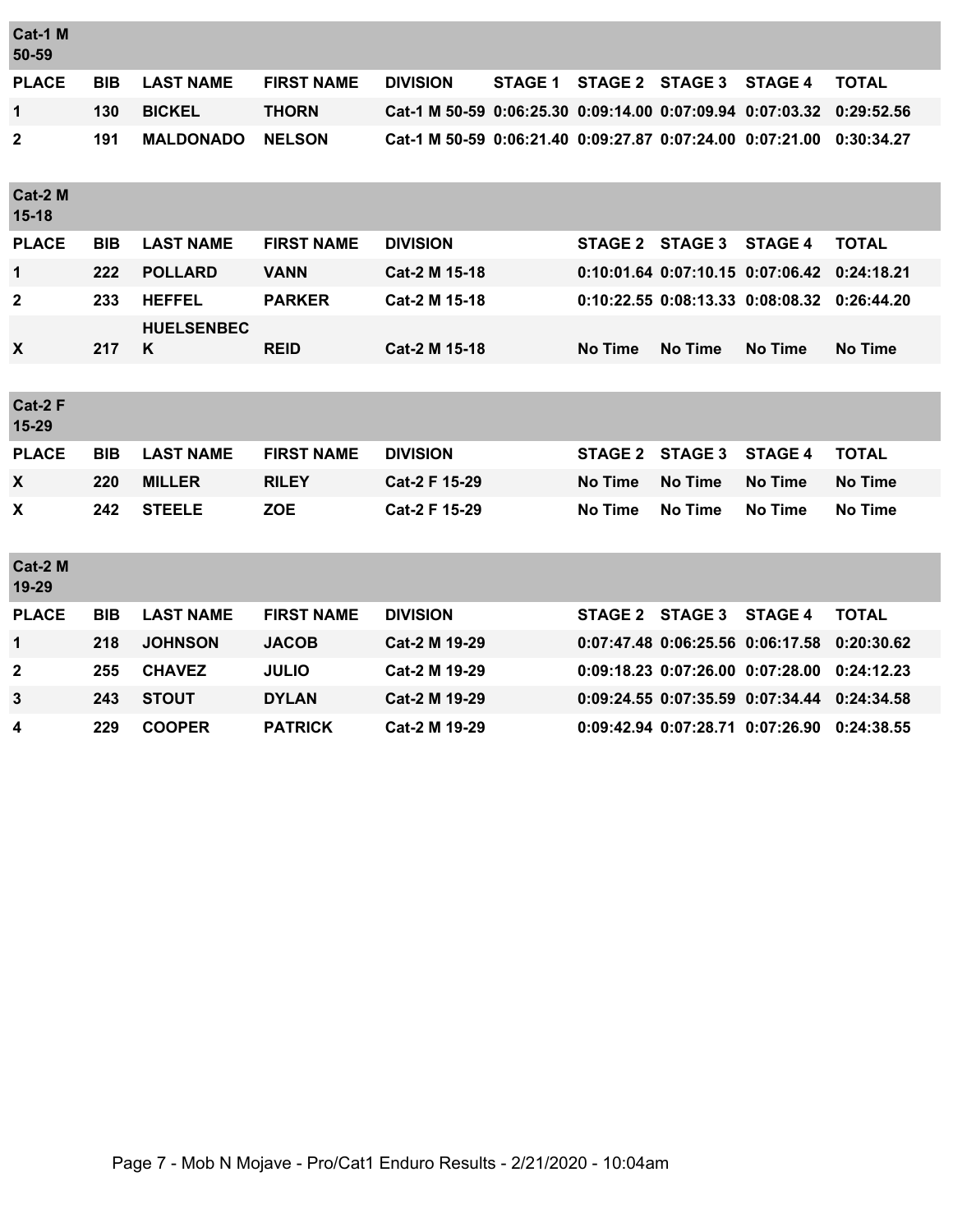| Cat-1 M<br>50-59   |            |                        |                   |                                                           |                |                 |                                  |                |                |
|--------------------|------------|------------------------|-------------------|-----------------------------------------------------------|----------------|-----------------|----------------------------------|----------------|----------------|
| <b>PLACE</b>       | <b>BIB</b> | <b>LAST NAME</b>       | <b>FIRST NAME</b> | <b>DIVISION</b>                                           | <b>STAGE 1</b> | <b>STAGE 2</b>  | <b>STAGE 3</b>                   | <b>STAGE 4</b> | <b>TOTAL</b>   |
| 1                  | 130        | <b>BICKEL</b>          | <b>THORN</b>      | Cat-1 M 50-59 0:06:25.30 0:09:14.00 0:07:09.94 0:07:03.32 |                |                 |                                  |                | 0:29:52.56     |
| 2                  | 191        | <b>MALDONADO</b>       | <b>NELSON</b>     | Cat-1 M 50-59 0:06:21.40 0:09:27.87 0:07:24.00 0:07:21.00 |                |                 |                                  |                | 0:30:34.27     |
| Cat-2 M<br>$15-18$ |            |                        |                   |                                                           |                |                 |                                  |                |                |
| <b>PLACE</b>       | <b>BIB</b> | <b>LAST NAME</b>       | <b>FIRST NAME</b> | <b>DIVISION</b>                                           |                | STAGE 2 STAGE 3 |                                  | <b>STAGE 4</b> | <b>TOTAL</b>   |
| $\mathbf 1$        | 222        | <b>POLLARD</b>         | <b>VANN</b>       | Cat-2 M 15-18                                             |                |                 | 0:10:01.64 0:07:10.15 0:07:06.42 |                | 0:24:18.21     |
| $\mathbf{2}$       | 233        | <b>HEFFEL</b>          | <b>PARKER</b>     | Cat-2 M 15-18                                             |                |                 | 0:10:22.55 0:08:13.33 0:08:08.32 |                | 0:26:44.20     |
| X                  | 217        | <b>HUELSENBEC</b><br>Κ | <b>REID</b>       | Cat-2 M 15-18                                             |                | <b>No Time</b>  | <b>No Time</b>                   | <b>No Time</b> | <b>No Time</b> |
|                    |            |                        |                   |                                                           |                |                 |                                  |                |                |
| Cat-2 F<br>15-29   |            |                        |                   |                                                           |                |                 |                                  |                |                |
| <b>PLACE</b>       | <b>BIB</b> | <b>LAST NAME</b>       | <b>FIRST NAME</b> | <b>DIVISION</b>                                           |                | <b>STAGE 2</b>  | <b>STAGE 3</b>                   | <b>STAGE 4</b> | <b>TOTAL</b>   |
| X                  | 220        | <b>MILLER</b>          | <b>RILEY</b>      | Cat-2 F 15-29                                             |                | <b>No Time</b>  | <b>No Time</b>                   | <b>No Time</b> | <b>No Time</b> |
| X                  | 242        | <b>STEELE</b>          | <b>ZOE</b>        | Cat-2 F 15-29                                             |                | <b>No Time</b>  | <b>No Time</b>                   | <b>No Time</b> | <b>No Time</b> |
| Cat-2 M<br>19-29   |            |                        |                   |                                                           |                |                 |                                  |                |                |
| <b>PLACE</b>       | <b>BIB</b> | <b>LAST NAME</b>       | <b>FIRST NAME</b> | <b>DIVISION</b>                                           |                | STAGE 2 STAGE 3 |                                  | <b>STAGE 4</b> | <b>TOTAL</b>   |
| 1                  | 218        | <b>JOHNSON</b>         | <b>JACOB</b>      | Cat-2 M 19-29                                             |                |                 | 0:07:47.48 0:06:25.56 0:06:17.58 |                | 0:20:30.62     |
| $\mathbf{2}$       | 255        | <b>CHAVEZ</b>          | <b>JULIO</b>      | Cat-2 M 19-29                                             |                |                 | 0:09:18.23 0:07:26.00 0:07:28.00 |                | 0:24:12.23     |
| 3                  | 243        | <b>STOUT</b>           | <b>DYLAN</b>      | Cat-2 M 19-29                                             |                |                 | 0:09:24.55 0:07:35.59 0:07:34.44 |                | 0:24:34.58     |
| 4                  | 229        | <b>COOPER</b>          | <b>PATRICK</b>    | Cat-2 M 19-29                                             |                |                 | 0:09:42.94 0:07:28.71 0:07:26.90 |                | 0:24:38.55     |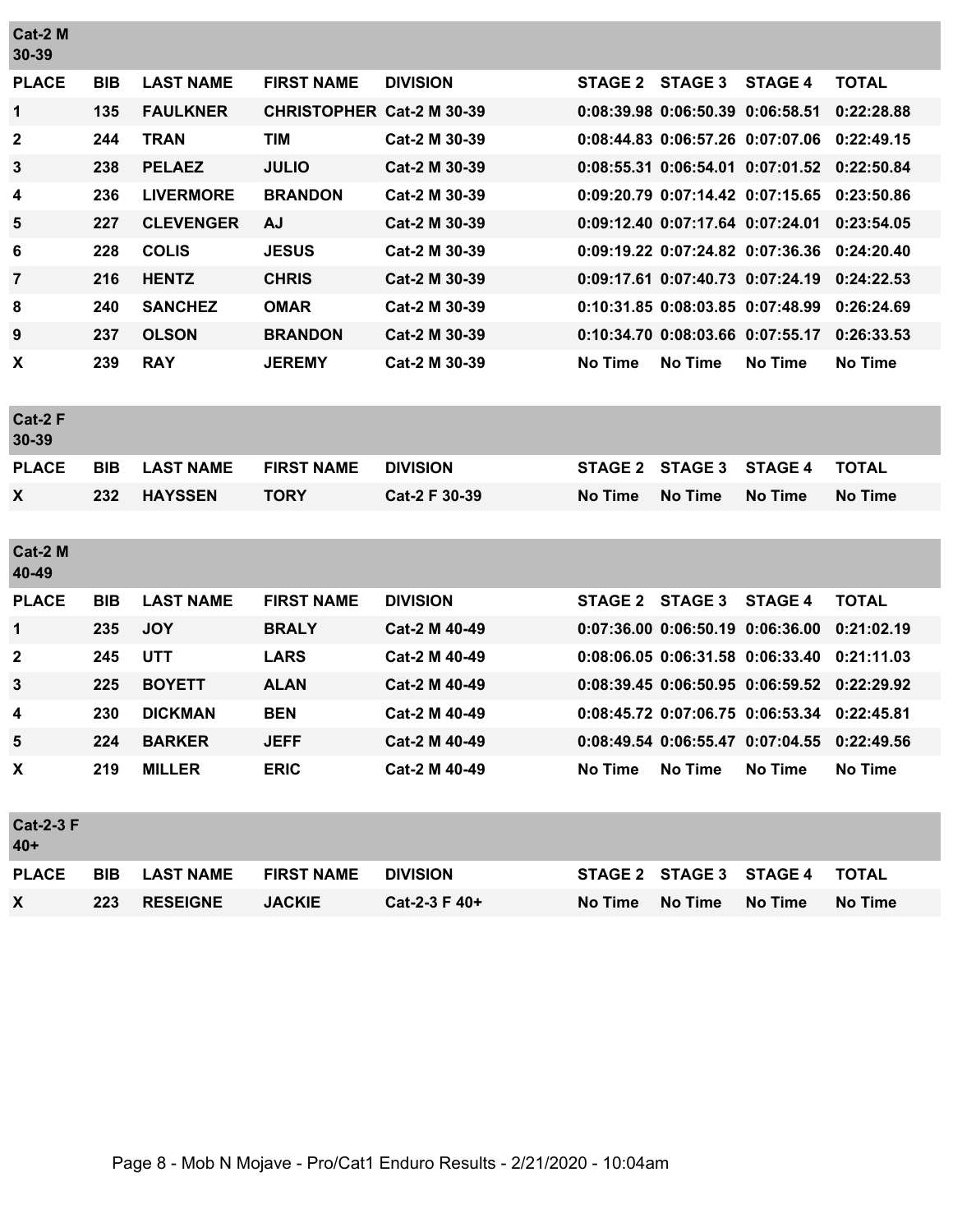| Cat-2 M<br>30-39          |            |                  |                                  |                 |                |                                  |                |                |
|---------------------------|------------|------------------|----------------------------------|-----------------|----------------|----------------------------------|----------------|----------------|
| <b>PLACE</b>              | <b>BIB</b> | <b>LAST NAME</b> | <b>FIRST NAME</b>                | <b>DIVISION</b> | <b>STAGE 2</b> | <b>STAGE 3</b>                   | <b>STAGE 4</b> | <b>TOTAL</b>   |
| 1                         | 135        | <b>FAULKNER</b>  | <b>CHRISTOPHER Cat-2 M 30-39</b> |                 |                | 0:08:39.98 0:06:50.39 0:06:58.51 |                | 0:22:28.88     |
| 2                         | 244        | <b>TRAN</b>      | <b>TIM</b>                       | Cat-2 M 30-39   |                | 0:08:44.83 0:06:57.26 0:07:07.06 |                | 0:22:49.15     |
| $\mathbf{3}$              | 238        | <b>PELAEZ</b>    | <b>JULIO</b>                     | Cat-2 M 30-39   |                | 0:08:55.31 0:06:54.01 0:07:01.52 |                | 0:22:50.84     |
| 4                         | 236        | <b>LIVERMORE</b> | <b>BRANDON</b>                   | Cat-2 M 30-39   |                | 0:09:20.79 0:07:14.42 0:07:15.65 |                | 0:23:50.86     |
| 5                         | 227        | <b>CLEVENGER</b> | <b>AJ</b>                        | Cat-2 M 30-39   |                | 0:09:12.40 0:07:17.64 0:07:24.01 |                | 0:23:54.05     |
| 6                         | 228        | <b>COLIS</b>     | <b>JESUS</b>                     | Cat-2 M 30-39   |                | 0:09:19.22 0:07:24.82 0:07:36.36 |                | 0:24:20.40     |
| $\overline{7}$            | 216        | <b>HENTZ</b>     | <b>CHRIS</b>                     | Cat-2 M 30-39   |                | 0:09:17.61 0:07:40.73 0:07:24.19 |                | 0:24:22.53     |
| 8                         | 240        | <b>SANCHEZ</b>   | <b>OMAR</b>                      | Cat-2 M 30-39   |                | 0:10:31.85 0:08:03.85 0:07:48.99 |                | 0:26:24.69     |
| 9                         | 237        | <b>OLSON</b>     | <b>BRANDON</b>                   | Cat-2 M 30-39   |                | 0:10:34.70 0:08:03.66 0:07:55.17 |                | 0:26:33.53     |
| X                         | 239        | <b>RAY</b>       | <b>JEREMY</b>                    | Cat-2 M 30-39   | <b>No Time</b> | <b>No Time</b>                   | <b>No Time</b> | No Time        |
| Cat-2 F<br>30-39          |            |                  |                                  |                 |                |                                  |                |                |
| <b>PLACE</b>              | <b>BIB</b> | <b>LAST NAME</b> | <b>FIRST NAME</b>                | <b>DIVISION</b> | <b>STAGE 2</b> | <b>STAGE 3</b>                   | <b>STAGE 4</b> | <b>TOTAL</b>   |
| X                         | 232        | <b>HAYSSEN</b>   | <b>TORY</b>                      | Cat-2 F 30-39   | <b>No Time</b> | <b>No Time</b>                   | No Time        | <b>No Time</b> |
|                           |            |                  |                                  |                 |                |                                  |                |                |
| Cat-2 M<br>40-49          |            |                  |                                  |                 |                |                                  |                |                |
| <b>PLACE</b>              | <b>BIB</b> | <b>LAST NAME</b> | <b>FIRST NAME</b>                | <b>DIVISION</b> | <b>STAGE 2</b> | <b>STAGE 3</b>                   | <b>STAGE 4</b> | <b>TOTAL</b>   |
| 1                         | 235        | <b>JOY</b>       | <b>BRALY</b>                     | Cat-2 M 40-49   |                | 0:07:36.00 0:06:50.19 0:06:36.00 |                | 0:21:02.19     |
| $\mathbf 2$               | 245        | <b>UTT</b>       | <b>LARS</b>                      | Cat-2 M 40-49   |                | 0:08:06.05 0:06:31.58 0:06:33.40 |                | 0:21:11.03     |
| 3                         | 225        | <b>BOYETT</b>    | <b>ALAN</b>                      | Cat-2 M 40-49   |                | 0:08:39.45 0:06:50.95 0:06:59.52 |                | 0:22:29.92     |
| 4                         | 230        | <b>DICKMAN</b>   | <b>BEN</b>                       | Cat-2 M 40-49   |                | 0:08:45.72 0:07:06.75 0:06:53.34 |                | 0:22:45.81     |
| 5                         | 224        | <b>BARKER</b>    | <b>JEFF</b>                      | Cat-2 M 40-49   |                | 0:08:49.54 0:06:55.47 0:07:04.55 |                | 0:22:49.56     |
| X                         | 219        | <b>MILLER</b>    | <b>ERIC</b>                      | Cat-2 M 40-49   | <b>No Time</b> | No Time                          | <b>No Time</b> | No Time        |
| <b>Cat-2-3 F</b><br>$40+$ |            |                  |                                  |                 |                |                                  |                |                |
| <b>PLACE</b>              | <b>BIB</b> | <b>LAST NAME</b> | <b>FIRST NAME</b>                | <b>DIVISION</b> | <b>STAGE 2</b> | <b>STAGE 3</b>                   | <b>STAGE 4</b> | <b>TOTAL</b>   |
| X                         | 223        | <b>RESEIGNE</b>  | <b>JACKIE</b>                    | Cat-2-3 F 40+   | <b>No Time</b> | No Time                          | <b>No Time</b> | <b>No Time</b> |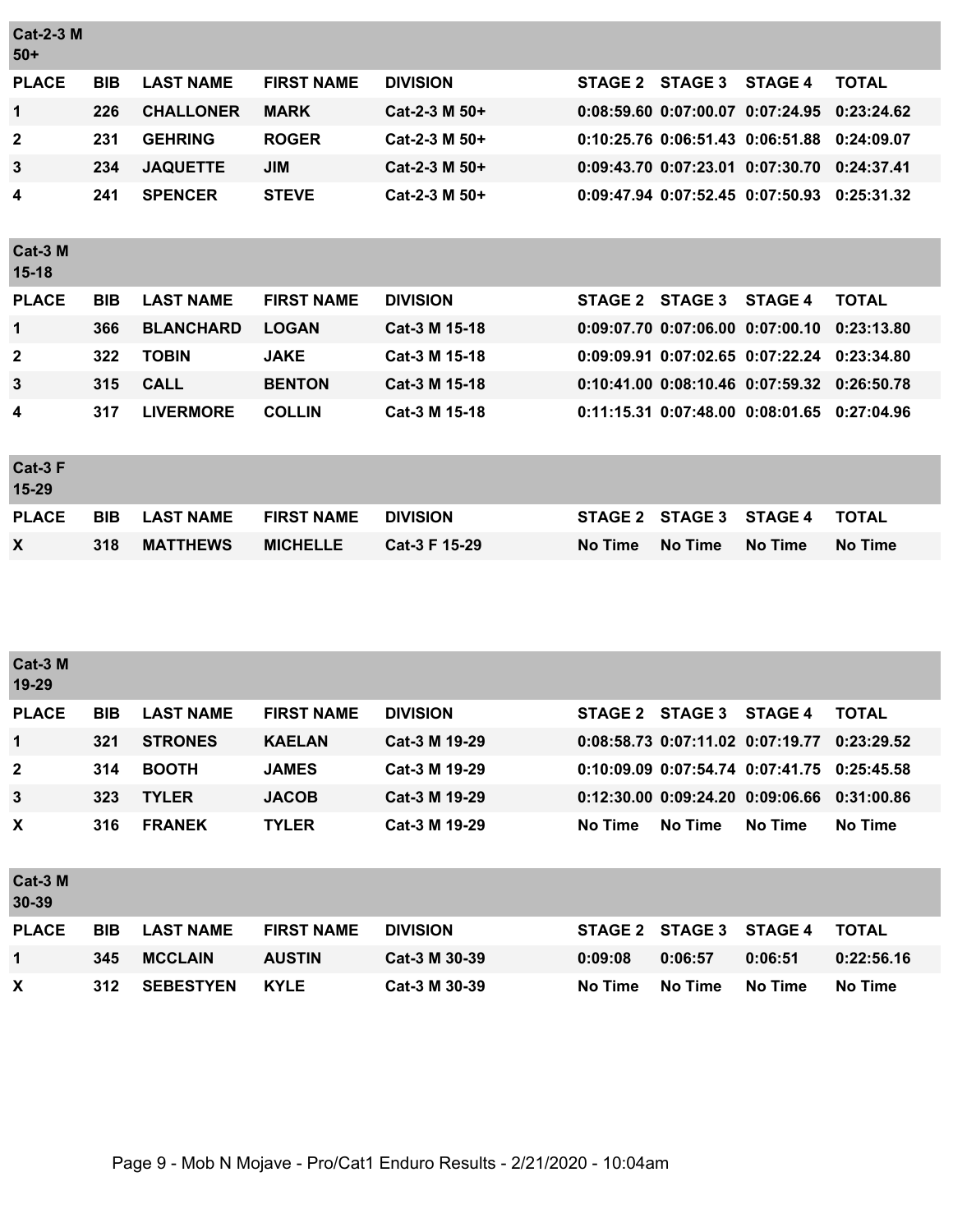| <b>Cat-2-3 M</b><br>$50+$ |            |                  |                   |                 |                |                                  |                |                |
|---------------------------|------------|------------------|-------------------|-----------------|----------------|----------------------------------|----------------|----------------|
| <b>PLACE</b>              | <b>BIB</b> | <b>LAST NAME</b> | <b>FIRST NAME</b> | <b>DIVISION</b> | <b>STAGE 2</b> | <b>STAGE 3</b>                   | <b>STAGE 4</b> | <b>TOTAL</b>   |
| 1                         | 226        | <b>CHALLONER</b> | <b>MARK</b>       | Cat-2-3 M 50+   |                | 0:08:59.60 0:07:00.07 0:07:24.95 |                | 0:23:24.62     |
| $\mathbf{2}$              | 231        | <b>GEHRING</b>   | <b>ROGER</b>      | Cat-2-3 M 50+   |                | 0:10:25.76 0:06:51.43 0:06:51.88 |                | 0:24:09.07     |
| 3                         | 234        | <b>JAQUETTE</b>  | <b>JIM</b>        | Cat-2-3 M 50+   |                | 0:09:43.70 0:07:23.01 0:07:30.70 |                | 0:24:37.41     |
| 4                         | 241        | <b>SPENCER</b>   | <b>STEVE</b>      | Cat-2-3 M 50+   |                | 0:09:47.94 0:07:52.45 0:07:50.93 |                | 0:25:31.32     |
| Cat-3 M<br>$15-18$        |            |                  |                   |                 |                |                                  |                |                |
| <b>PLACE</b>              | <b>BIB</b> | <b>LAST NAME</b> | <b>FIRST NAME</b> | <b>DIVISION</b> | <b>STAGE 2</b> | <b>STAGE 3</b>                   | <b>STAGE 4</b> | <b>TOTAL</b>   |
| 1                         | 366        | <b>BLANCHARD</b> | <b>LOGAN</b>      | Cat-3 M 15-18   |                | 0:09:07.70 0:07:06.00 0:07:00.10 |                | 0:23:13.80     |
| $\mathbf{2}$              | 322        | <b>TOBIN</b>     | <b>JAKE</b>       | Cat-3 M 15-18   |                | 0:09:09.91 0:07:02.65 0:07:22.24 |                | 0:23:34.80     |
| 3                         | 315        | <b>CALL</b>      | <b>BENTON</b>     | Cat-3 M 15-18   |                | 0:10:41.00 0:08:10.46 0:07:59.32 |                | 0:26:50.78     |
| 4                         | 317        | <b>LIVERMORE</b> | <b>COLLIN</b>     | Cat-3 M 15-18   |                | 0:11:15.31 0:07:48.00 0:08:01.65 |                | 0:27:04.96     |
| Cat-3 F<br>15-29          |            |                  |                   |                 |                |                                  |                |                |
| <b>PLACE</b>              | <b>BIB</b> | <b>LAST NAME</b> | <b>FIRST NAME</b> | <b>DIVISION</b> | <b>STAGE 2</b> | <b>STAGE 3</b>                   | <b>STAGE 4</b> | <b>TOTAL</b>   |
| X                         | 318        | <b>MATTHEWS</b>  | <b>MICHELLE</b>   | Cat-3 F 15-29   | <b>No Time</b> | No Time                          | No Time        | <b>No Time</b> |
|                           |            |                  |                   |                 |                |                                  |                |                |

| Cat-3 M<br>19-29 |            |                  |                   |                 |                |                |                                        |              |
|------------------|------------|------------------|-------------------|-----------------|----------------|----------------|----------------------------------------|--------------|
| <b>PLACE</b>     | <b>BIB</b> | <b>LAST NAME</b> | <b>FIRST NAME</b> | <b>DIVISION</b> | <b>STAGE 2</b> | <b>STAGE 3</b> | <b>STAGE 4</b>                         | <b>TOTAL</b> |
| $\mathbf{1}$     | 321        | <b>STRONES</b>   | <b>KAELAN</b>     | Cat-3 M 19-29   |                |                | 0:08:58.73 0:07:11.02 0:07:19.77       | 0:23:29.52   |
| $\mathbf{2}$     | 314        | <b>BOOTH</b>     | <b>JAMES</b>      | Cat-3 M 19-29   |                |                | 0:10:09.09 0:07:54.74 0:07:41.75       | 0:25:45.58   |
| $\mathbf{3}$     | 323        | <b>TYLER</b>     | <b>JACOB</b>      | Cat-3 M 19-29   |                |                | $0:12:30.00$ $0:09:24.20$ $0:09:06.66$ | 0:31:00.86   |
| X                | 316        | <b>FRANEK</b>    | <b>TYLER</b>      | Cat-3 M 19-29   | <b>No Time</b> | <b>No Time</b> | No Time                                | No Time      |
| Cat-3 M<br>30-39 |            |                  |                   |                 |                |                |                                        |              |
| <b>PLACE</b>     | <b>BIB</b> | <b>LAST NAME</b> | <b>FIRST NAME</b> | <b>DIVISION</b> | <b>STAGE 2</b> | <b>STAGE 3</b> | <b>STAGE 4</b>                         | <b>TOTAL</b> |
| $\mathbf 1$      | 345        | <b>MCCLAIN</b>   | <b>AUSTIN</b>     | Cat-3 M 30-39   | 0:09:08        | 0:06:57        | 0:06:51                                | 0:22:56.16   |
| X                | 312        | <b>SEBESTYEN</b> | <b>KYLE</b>       | Cat-3 M 30-39   | <b>No Time</b> | No Time        | No Time                                | No Time      |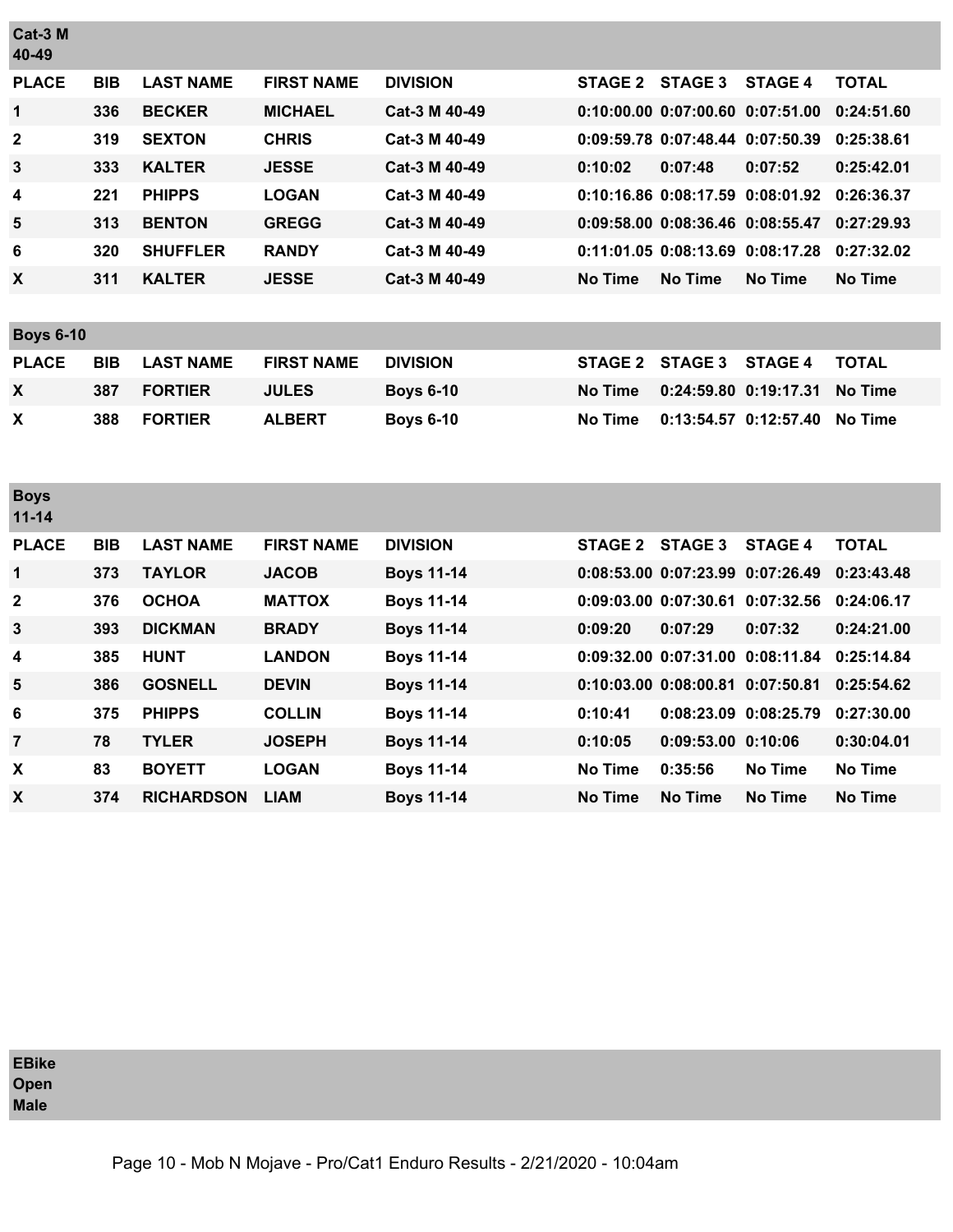| Cat-3 M<br>40-49         |            |                   |                   |                   |                |                                  |                       |                |
|--------------------------|------------|-------------------|-------------------|-------------------|----------------|----------------------------------|-----------------------|----------------|
| <b>PLACE</b>             | <b>BIB</b> | <b>LAST NAME</b>  | <b>FIRST NAME</b> | <b>DIVISION</b>   | <b>STAGE 2</b> | <b>STAGE 3</b>                   | <b>STAGE 4</b>        | <b>TOTAL</b>   |
| 1                        | 336        | <b>BECKER</b>     | <b>MICHAEL</b>    | Cat-3 M 40-49     |                | 0:10:00.00 0:07:00.60 0:07:51.00 |                       | 0:24:51.60     |
| $\mathbf 2$              | 319        | <b>SEXTON</b>     | <b>CHRIS</b>      | Cat-3 M 40-49     |                | 0:09:59.78 0:07:48.44 0:07:50.39 |                       | 0:25:38.61     |
| 3                        | 333        | <b>KALTER</b>     | <b>JESSE</b>      | Cat-3 M 40-49     | 0:10:02        | 0:07:48                          | 0:07:52               | 0:25:42.01     |
| 4                        | 221        | <b>PHIPPS</b>     | <b>LOGAN</b>      | Cat-3 M 40-49     |                | 0:10:16.86 0:08:17.59 0:08:01.92 |                       | 0:26:36.37     |
| 5                        | 313        | <b>BENTON</b>     | <b>GREGG</b>      | Cat-3 M 40-49     |                | 0:09:58.00 0:08:36.46 0:08:55.47 |                       | 0:27:29.93     |
| 6                        | 320        | <b>SHUFFLER</b>   | <b>RANDY</b>      | Cat-3 M 40-49     |                | 0:11:01.05 0:08:13.69 0:08:17.28 |                       | 0:27:32.02     |
| X                        | 311        | <b>KALTER</b>     | <b>JESSE</b>      | Cat-3 M 40-49     | <b>No Time</b> | <b>No Time</b>                   | <b>No Time</b>        | <b>No Time</b> |
|                          |            |                   |                   |                   |                |                                  |                       |                |
| <b>Boys 6-10</b>         |            |                   |                   |                   |                |                                  |                       |                |
| <b>PLACE</b>             | <b>BIB</b> | <b>LAST NAME</b>  | <b>FIRST NAME</b> | <b>DIVISION</b>   | <b>STAGE 2</b> | <b>STAGE 3</b>                   | <b>STAGE 4</b>        | <b>TOTAL</b>   |
| X                        | 387        | <b>FORTIER</b>    | <b>JULES</b>      | <b>Boys 6-10</b>  | <b>No Time</b> | 0:24:59.80 0:19:17.31            |                       | <b>No Time</b> |
| X                        | 388        | <b>FORTIER</b>    | <b>ALBERT</b>     | <b>Boys 6-10</b>  | <b>No Time</b> |                                  | 0:13:54.57 0:12:57.40 | <b>No Time</b> |
| <b>Boys</b><br>$11 - 14$ |            |                   |                   |                   |                |                                  |                       |                |
| <b>PLACE</b>             | <b>BIB</b> | <b>LAST NAME</b>  | <b>FIRST NAME</b> | <b>DIVISION</b>   | <b>STAGE 2</b> | <b>STAGE 3</b>                   | <b>STAGE 4</b>        | <b>TOTAL</b>   |
| 1                        | 373        | <b>TAYLOR</b>     | <b>JACOB</b>      | <b>Boys 11-14</b> |                | 0:08:53.00 0:07:23.99 0:07:26.49 |                       | 0:23:43.48     |
| 2                        | 376        | <b>OCHOA</b>      | <b>MATTOX</b>     | <b>Boys 11-14</b> |                | 0:09:03.00 0:07:30.61 0:07:32.56 |                       | 0:24:06.17     |
| 3                        | 393        | <b>DICKMAN</b>    | <b>BRADY</b>      | <b>Boys 11-14</b> | 0:09:20        | 0:07:29                          | 0:07:32               | 0:24:21.00     |
| 4                        | 385        | <b>HUNT</b>       | <b>LANDON</b>     | <b>Boys 11-14</b> |                | 0:09:32.00 0:07:31.00 0:08:11.84 |                       | 0:25:14.84     |
| 5                        | 386        | <b>GOSNELL</b>    | <b>DEVIN</b>      | <b>Boys 11-14</b> |                | 0:10:03.00 0:08:00.81 0:07:50.81 |                       | 0:25:54.62     |
| 6                        | 375        | <b>PHIPPS</b>     | <b>COLLIN</b>     | <b>Boys 11-14</b> | 0:10:41        |                                  | 0:08:23.09 0:08:25.79 | 0:27:30.00     |
| $\overline{\mathbf{7}}$  | 78         | <b>TYLER</b>      | <b>JOSEPH</b>     | <b>Boys 11-14</b> | 0:10:05        | 0:09:53.00 0:10:06               |                       | 0:30:04.01     |
| X                        | 83         | <b>BOYETT</b>     | <b>LOGAN</b>      | <b>Boys 11-14</b> | <b>No Time</b> | 0:35:56                          | <b>No Time</b>        | <b>No Time</b> |
| $\pmb{\mathsf{X}}$       | 374        | <b>RICHARDSON</b> | <b>LIAM</b>       | <b>Boys 11-14</b> | <b>No Time</b> | <b>No Time</b>                   | No Time               | No Time        |